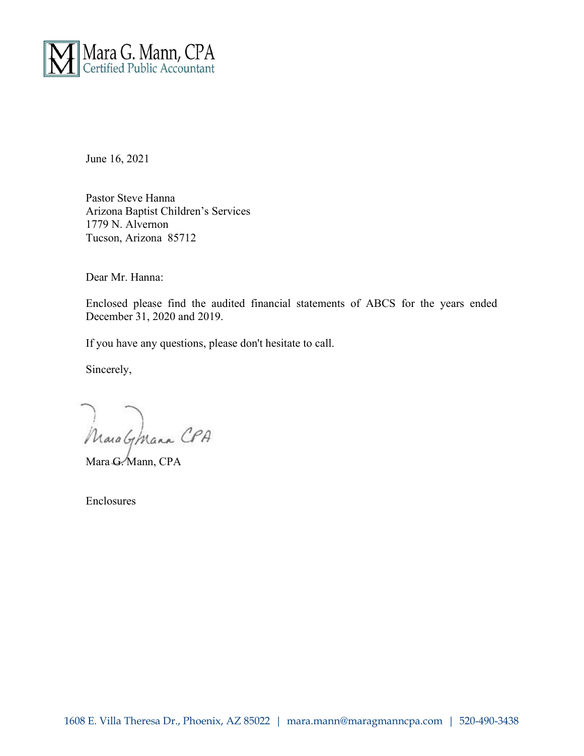

June 16, 2021

Pastor Steve Hanna Arizona Baptist Children's Services 1779 N. Alvernon Tucson, Arizona 85712

Dear Mr. Hanna:

Enclosed please find the audited financial statements of ABCS for the years ended December 31, 2020 and 2019.

If you have any questions, please don't hesitate to call.

Sincerely,

MaraGmana CPA

Mara G. Mann, CPA

Enclosures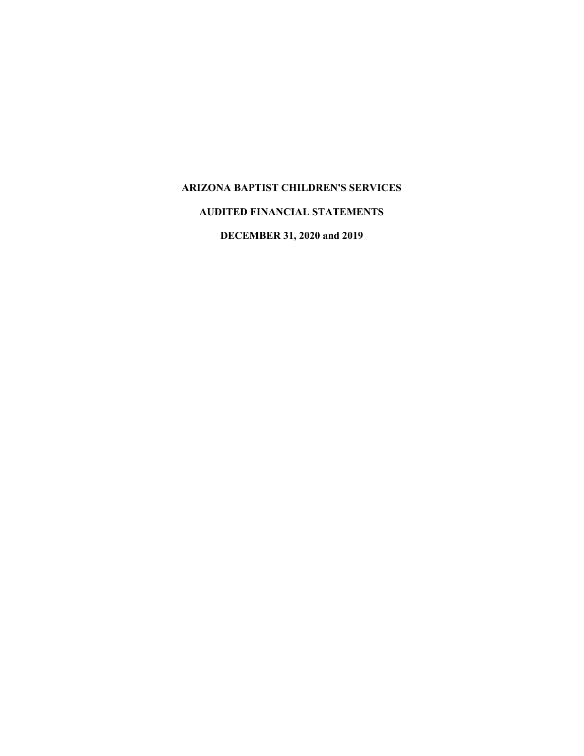## ARIZONA BAPTIST CHILDREN'S SERVICES

## AUDITED FINANCIAL STATEMENTS

DECEMBER 31, 2020 and 2019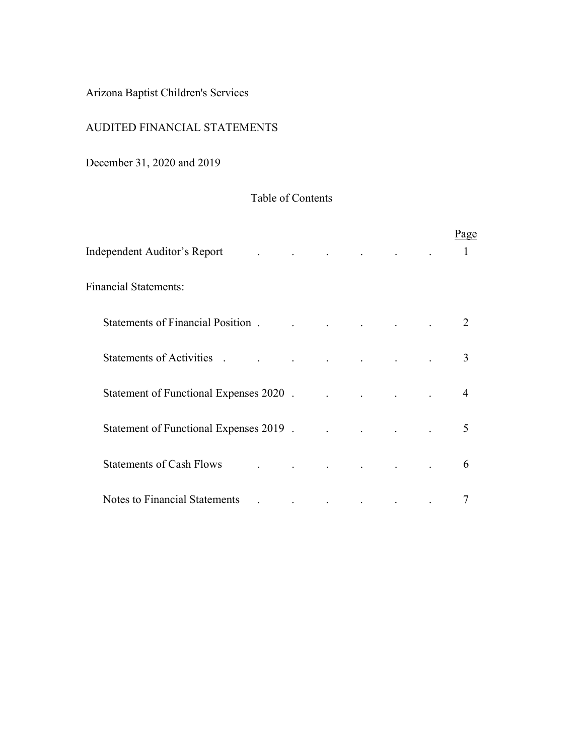## AUDITED FINANCIAL STATEMENTS

# December 31, 2020 and 2019

## Table of Contents

|                                                                                                                                                                                                                                                                           |  |                                     |  | Page           |
|---------------------------------------------------------------------------------------------------------------------------------------------------------------------------------------------------------------------------------------------------------------------------|--|-------------------------------------|--|----------------|
| Independent Auditor's Report and the contract of the contract of the contract of the contract of the contract of the contract of the contract of the contract of the contract of the contract of the contract of the contract                                             |  |                                     |  | 1              |
| <b>Financial Statements:</b>                                                                                                                                                                                                                                              |  |                                     |  |                |
| Statements of Financial Position.                                                                                                                                                                                                                                         |  |                                     |  | 2              |
| Statements of Activities.<br>the contract of the contract of the contract of the                                                                                                                                                                                          |  |                                     |  | 3              |
| Statement of Functional Expenses 2020.                                                                                                                                                                                                                                    |  |                                     |  | $\overline{4}$ |
| Statement of Functional Expenses 2019.                                                                                                                                                                                                                                    |  |                                     |  | 5              |
| <b>Statements of Cash Flows</b>                                                                                                                                                                                                                                           |  | and the contract of the contract of |  | 6              |
| Notes to Financial Statements<br>$\mathcal{L}(\mathcal{A})$ is a subset of the set of the set of the set of the set of the set of the set of the set of the set of the set of the set of the set of the set of the set of the set of the set of the set of the set of the |  |                                     |  |                |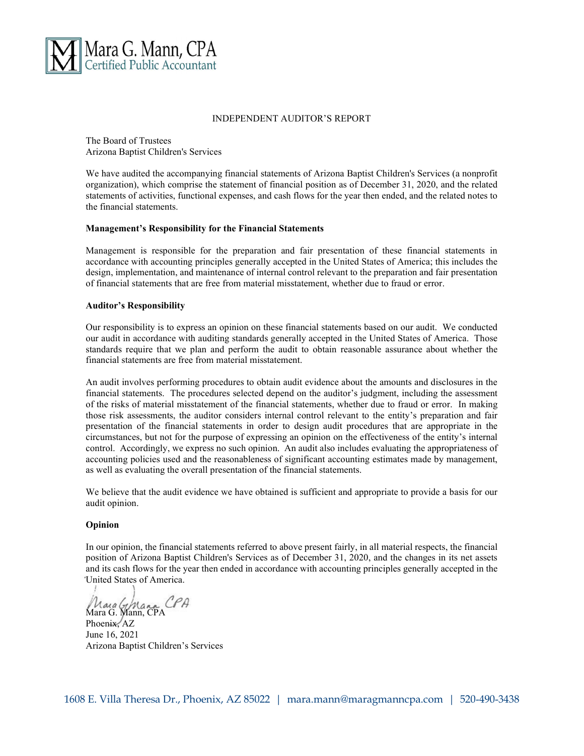

#### INDEPENDENT AUDITOR'S REPORT

The Board of Trustees Arizona Baptist Children's Services

We have audited the accompanying financial statements of Arizona Baptist Children's Services (a nonprofit organization), which comprise the statement of financial position as of December 31, 2020, and the related statements of activities, functional expenses, and cash flows for the year then ended, and the related notes to the financial statements.

#### Management's Responsibility for the Financial Statements

Management is responsible for the preparation and fair presentation of these financial statements in accordance with accounting principles generally accepted in the United States of America; this includes the design, implementation, and maintenance of internal control relevant to the preparation and fair presentation of financial statements that are free from material misstatement, whether due to fraud or error.

#### Auditor's Responsibility

Our responsibility is to express an opinion on these financial statements based on our audit. We conducted our audit in accordance with auditing standards generally accepted in the United States of America. Those standards require that we plan and perform the audit to obtain reasonable assurance about whether the financial statements are free from material misstatement.

An audit involves performing procedures to obtain audit evidence about the amounts and disclosures in the financial statements. The procedures selected depend on the auditor's judgment, including the assessment of the risks of material misstatement of the financial statements, whether due to fraud or error. In making those risk assessments, the auditor considers internal control relevant to the entity's preparation and fair presentation of the financial statements in order to design audit procedures that are appropriate in the circumstances, but not for the purpose of expressing an opinion on the effectiveness of the entity's internal control. Accordingly, we express no such opinion. An audit also includes evaluating the appropriateness of accounting policies used and the reasonableness of significant accounting estimates made by management, as well as evaluating the overall presentation of the financial statements.

We believe that the audit evidence we have obtained is sufficient and appropriate to provide a basis for our audit opinion.

#### Opinion

In our opinion, the financial statements referred to above present fairly, in all material respects, the financial position of Arizona Baptist Children's Services as of December 31, 2020, and the changes in its net assets and its cash flows for the year then ended in accordance with accounting principles generally accepted in the United States of America.

Mara G*Mana CPA* 

Phoenix, AZ June 16, 2021 Arizona Baptist Children's Services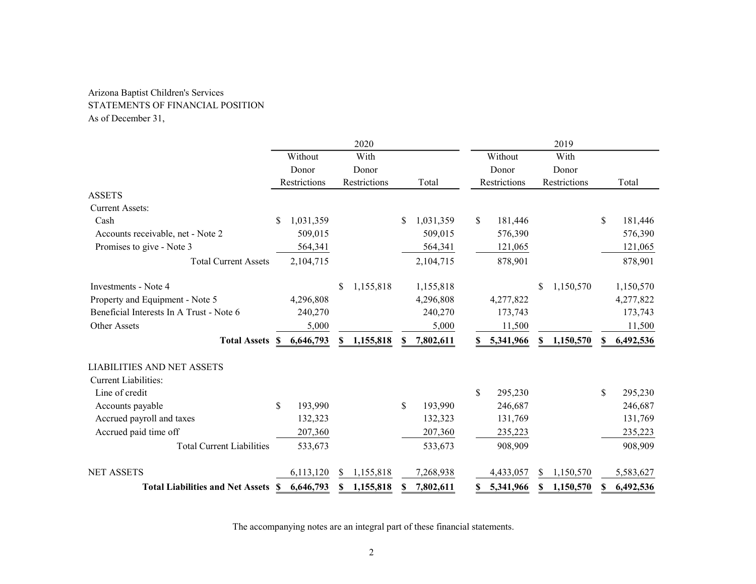## Arizona Baptist Children's Services STATEMENTS OF FINANCIAL POSITION As of December 31,

|                                            |     |              |    | 2020         |    |           |                 |    | 2019         |    |           |
|--------------------------------------------|-----|--------------|----|--------------|----|-----------|-----------------|----|--------------|----|-----------|
|                                            |     | Without      |    | With         |    |           | Without         |    | With         |    |           |
|                                            |     | Donor        |    | Donor        |    |           | Donor           |    | Donor        |    |           |
|                                            |     | Restrictions |    | Restrictions |    | Total     | Restrictions    |    | Restrictions |    | Total     |
| <b>ASSETS</b>                              |     |              |    |              |    |           |                 |    |              |    |           |
| <b>Current Assets:</b>                     |     |              |    |              |    |           |                 |    |              |    |           |
| Cash                                       | S.  | 1,031,359    |    |              | \$ | 1,031,359 | \$<br>181,446   |    |              | \$ | 181,446   |
| Accounts receivable, net - Note 2          |     | 509,015      |    |              |    | 509,015   | 576,390         |    |              |    | 576,390   |
| Promises to give - Note 3                  |     | 564,341      |    |              |    | 564,341   | 121,065         |    |              |    | 121,065   |
| <b>Total Current Assets</b>                |     | 2,104,715    |    |              |    | 2,104,715 | 878,901         |    |              |    | 878,901   |
| Investments - Note 4                       |     |              | S. | 1,155,818    |    | 1,155,818 |                 | S  | 1,150,570    |    | 1,150,570 |
| Property and Equipment - Note 5            |     | 4,296,808    |    |              |    | 4,296,808 | 4,277,822       |    |              |    | 4,277,822 |
| Beneficial Interests In A Trust - Note 6   |     | 240,270      |    |              |    | 240,270   | 173,743         |    |              |    | 173,743   |
| <b>Other Assets</b>                        |     | 5,000        |    |              |    | 5,000     | 11,500          |    |              |    | 11,500    |
| <b>Total Assets</b>                        | -SS | 6,646,793    | S  | 1,155,818    | S  | 7,802,611 | 5,341,966       | S  | 1,150,570    | S  | 6,492,536 |
| <b>LIABILITIES AND NET ASSETS</b>          |     |              |    |              |    |           |                 |    |              |    |           |
| <b>Current Liabilities:</b>                |     |              |    |              |    |           |                 |    |              |    |           |
| Line of credit                             |     |              |    |              |    |           | \$<br>295,230   |    |              | \$ | 295,230   |
| Accounts payable                           | \$  | 193,990      |    |              | \$ | 193,990   | 246,687         |    |              |    | 246,687   |
| Accrued payroll and taxes                  |     | 132,323      |    |              |    | 132,323   | 131,769         |    |              |    | 131,769   |
| Accrued paid time off                      |     | 207,360      |    |              |    | 207,360   | 235,223         |    |              |    | 235,223   |
| <b>Total Current Liabilities</b>           |     | 533,673      |    |              |    | 533,673   | 908,909         |    |              |    | 908,909   |
| <b>NET ASSETS</b>                          |     | 6,113,120    | S. | 1,155,818    |    | 7,268,938 | 4,433,057       | S  | 1,150,570    |    | 5,583,627 |
| <b>Total Liabilities and Net Assets \$</b> |     | 6,646,793    | \$ | 1,155,818    | S  | 7,802,611 | \$<br>5,341,966 | \$ | 1,150,570    | \$ | 6,492,536 |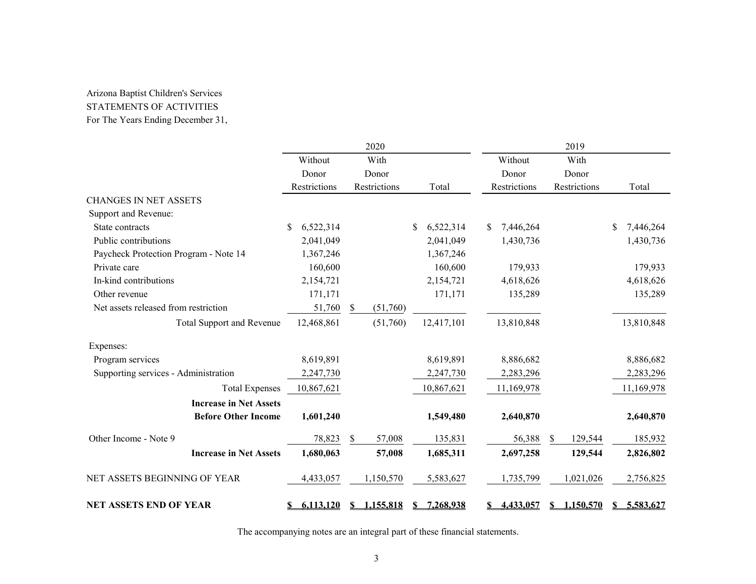## Arizona Baptist Children's Services STATEMENTS OF ACTIVITIES For The Years Ending December 31,

|                                       |                 | 2020           |                 | 2019            |                 |                 |  |
|---------------------------------------|-----------------|----------------|-----------------|-----------------|-----------------|-----------------|--|
|                                       | Without         | With           |                 | Without         | With            |                 |  |
|                                       | Donor           | Donor          |                 | Donor           | Donor           |                 |  |
|                                       | Restrictions    | Restrictions   | Total           | Restrictions    | Restrictions    | Total           |  |
| <b>CHANGES IN NET ASSETS</b>          |                 |                |                 |                 |                 |                 |  |
| Support and Revenue:                  |                 |                |                 |                 |                 |                 |  |
| State contracts                       | 6,522,314<br>\$ |                | 6,522,314<br>S. | \$<br>7,446,264 |                 | \$<br>7,446,264 |  |
| Public contributions                  | 2,041,049       |                | 2,041,049       | 1,430,736       |                 | 1,430,736       |  |
| Paycheck Protection Program - Note 14 | 1,367,246       |                | 1,367,246       |                 |                 |                 |  |
| Private care                          | 160,600         |                | 160,600         | 179,933         |                 | 179,933         |  |
| In-kind contributions                 | 2,154,721       |                | 2,154,721       | 4,618,626       |                 | 4,618,626       |  |
| Other revenue                         | 171,171         |                | 171,171         | 135,289         |                 | 135,289         |  |
| Net assets released from restriction  | 51,760          | (51,760)<br>\$ |                 |                 |                 |                 |  |
| <b>Total Support and Revenue</b>      | 12,468,861      | (51,760)       | 12,417,101      | 13,810,848      |                 | 13,810,848      |  |
| Expenses:                             |                 |                |                 |                 |                 |                 |  |
| Program services                      | 8,619,891       |                | 8,619,891       | 8,886,682       |                 | 8,886,682       |  |
| Supporting services - Administration  | 2,247,730       |                | 2,247,730       | 2,283,296       |                 | 2,283,296       |  |
| <b>Total Expenses</b>                 | 10,867,621      |                | 10,867,621      | 11,169,978      |                 | 11,169,978      |  |
| <b>Increase in Net Assets</b>         |                 |                |                 |                 |                 |                 |  |
| <b>Before Other Income</b>            | 1,601,240       |                | 1,549,480       | 2,640,870       |                 | 2,640,870       |  |
| Other Income - Note 9                 | 78,823          | \$<br>57,008   | 135,831         | 56,388          | 129,544<br>\$   | 185,932         |  |
| <b>Increase in Net Assets</b>         | 1,680,063       | 57,008         | 1,685,311       | 2,697,258       | 129,544         | 2,826,802       |  |
| NET ASSETS BEGINNING OF YEAR          | 4,433,057       | 1,150,570      | 5,583,627       | 1,735,799       | 1,021,026       | 2,756,825       |  |
| <b>NET ASSETS END OF YEAR</b>         | 6,113,120<br>S  | 1,155,818<br>S | 7,268,938       | 4,433,057<br>S  | 1,150,570<br>S. | \$5,583,627     |  |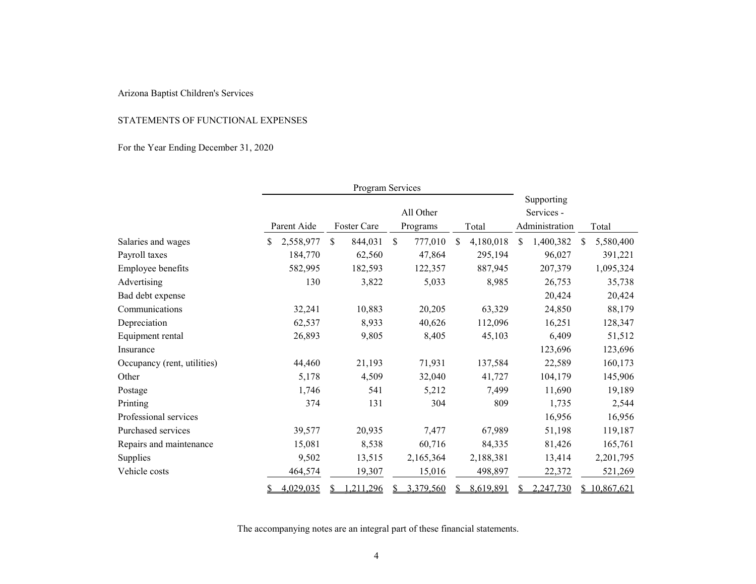## STATEMENTS OF FUNCTIONAL EXPENSES

## For the Year Ending December 31, 2020

|                             |    | Program Services |     |             |    |                       |    |           |    |                                            |                 |
|-----------------------------|----|------------------|-----|-------------|----|-----------------------|----|-----------|----|--------------------------------------------|-----------------|
|                             |    | Parent Aide      |     | Foster Care |    | All Other<br>Programs |    | Total     |    | Supporting<br>Services -<br>Administration | Total           |
| Salaries and wages          | \$ | 2,558,977        | \$. | 844,031     | \$ | 777,010               | \$ | 4,180,018 | \$ | 1,400,382                                  | \$<br>5,580,400 |
| Payroll taxes               |    | 184,770          |     | 62,560      |    | 47,864                |    | 295,194   |    | 96,027                                     | 391,221         |
|                             |    |                  |     |             |    |                       |    |           |    |                                            |                 |
| Employee benefits           |    | 582,995          |     | 182,593     |    | 122,357               |    | 887,945   |    | 207,379                                    | 1,095,324       |
| Advertising                 |    | 130              |     | 3,822       |    | 5,033                 |    | 8,985     |    | 26,753                                     | 35,738          |
| Bad debt expense            |    |                  |     |             |    |                       |    |           |    | 20,424                                     | 20,424          |
| Communications              |    | 32,241           |     | 10,883      |    | 20,205                |    | 63,329    |    | 24,850                                     | 88,179          |
| Depreciation                |    | 62,537           |     | 8,933       |    | 40,626                |    | 112,096   |    | 16,251                                     | 128,347         |
| Equipment rental            |    | 26,893           |     | 9,805       |    | 8,405                 |    | 45,103    |    | 6,409                                      | 51,512          |
| Insurance                   |    |                  |     |             |    |                       |    |           |    | 123,696                                    | 123,696         |
| Occupancy (rent, utilities) |    | 44,460           |     | 21,193      |    | 71,931                |    | 137,584   |    | 22,589                                     | 160,173         |
| Other                       |    | 5,178            |     | 4,509       |    | 32,040                |    | 41,727    |    | 104,179                                    | 145,906         |
| Postage                     |    | 1,746            |     | 541         |    | 5,212                 |    | 7,499     |    | 11,690                                     | 19,189          |
| Printing                    |    | 374              |     | 131         |    | 304                   |    | 809       |    | 1,735                                      | 2,544           |
| Professional services       |    |                  |     |             |    |                       |    |           |    | 16,956                                     | 16,956          |
| Purchased services          |    | 39,577           |     | 20,935      |    | 7,477                 |    | 67,989    |    | 51,198                                     | 119,187         |
| Repairs and maintenance     |    | 15,081           |     | 8,538       |    | 60,716                |    | 84,335    |    | 81,426                                     | 165,761         |
| Supplies                    |    | 9,502            |     | 13,515      |    | 2,165,364             |    | 2,188,381 |    | 13,414                                     | 2,201,795       |
| Vehicle costs               |    | 464,574          |     | 19,307      |    | 15,016                |    | 498,897   |    | 22,372                                     | 521,269         |
|                             | S  | 4,029,035        |     | 1,211,296   |    | 3,379,560             |    | 8,619,891 | S. | 2,247,730                                  | \$10,867,621    |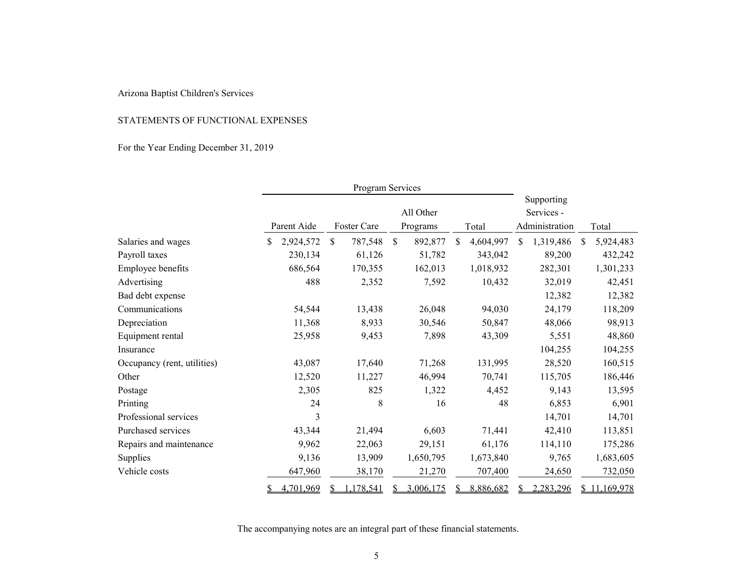## STATEMENTS OF FUNCTIONAL EXPENSES

## For the Year Ending December 31, 2019

|                             |    | Program Services |     |             |    |                       |    |           |                                            |                 |
|-----------------------------|----|------------------|-----|-------------|----|-----------------------|----|-----------|--------------------------------------------|-----------------|
|                             |    | Parent Aide      |     | Foster Care |    | All Other<br>Programs |    | Total     | Supporting<br>Services -<br>Administration | Total           |
| Salaries and wages          | \$ | 2,924,572        | \$. | 787,548     | \$ | 892,877               | \$ | 4,604,997 | \$<br>1,319,486                            | \$<br>5,924,483 |
| Payroll taxes               |    | 230,134          |     | 61,126      |    | 51,782                |    | 343,042   | 89,200                                     | 432,242         |
| Employee benefits           |    | 686,564          |     | 170,355     |    | 162,013               |    | 1,018,932 | 282,301                                    | 1,301,233       |
| Advertising                 |    | 488              |     | 2,352       |    | 7,592                 |    | 10,432    | 32,019                                     | 42,451          |
| Bad debt expense            |    |                  |     |             |    |                       |    |           | 12,382                                     | 12,382          |
| Communications              |    | 54,544           |     | 13,438      |    | 26,048                |    | 94,030    | 24,179                                     | 118,209         |
| Depreciation                |    | 11,368           |     | 8,933       |    | 30,546                |    | 50,847    | 48,066                                     | 98,913          |
| Equipment rental            |    | 25,958           |     | 9,453       |    | 7,898                 |    | 43,309    | 5,551                                      | 48,860          |
| Insurance                   |    |                  |     |             |    |                       |    |           | 104,255                                    | 104,255         |
| Occupancy (rent, utilities) |    | 43,087           |     | 17,640      |    | 71,268                |    | 131,995   | 28,520                                     | 160,515         |
| Other                       |    | 12,520           |     | 11,227      |    | 46,994                |    | 70,741    | 115,705                                    | 186,446         |
| Postage                     |    | 2,305            |     | 825         |    | 1,322                 |    | 4,452     | 9,143                                      | 13,595          |
| Printing                    |    | 24               |     | 8           |    | 16                    |    | 48        | 6,853                                      | 6,901           |
| Professional services       |    | 3                |     |             |    |                       |    |           | 14,701                                     | 14,701          |
| Purchased services          |    | 43,344           |     | 21,494      |    | 6,603                 |    | 71,441    | 42,410                                     | 113,851         |
| Repairs and maintenance     |    | 9,962            |     | 22,063      |    | 29,151                |    | 61,176    | 114,110                                    | 175,286         |
| Supplies                    |    | 9,136            |     | 13,909      |    | 1,650,795             |    | 1,673,840 | 9,765                                      | 1,683,605       |
| Vehicle costs               |    | 647,960          |     | 38,170      |    | 21,270                |    | 707,400   | 24,650                                     | 732,050         |
|                             | S  | 4,701,969        |     | 1,178,541   |    | 3,006,175             |    | 8,886,682 | 2,283,296                                  | \$11,169,978    |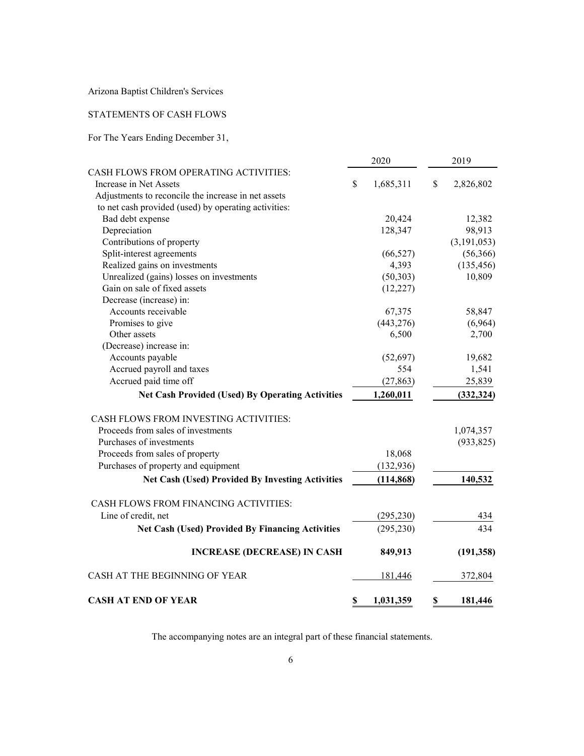## STATEMENTS OF CASH FLOWS

For The Years Ending December 31,

|                                                         | 2020            | 2019            |
|---------------------------------------------------------|-----------------|-----------------|
| CASH FLOWS FROM OPERATING ACTIVITIES:                   |                 |                 |
| Increase in Net Assets                                  | \$<br>1,685,311 | \$<br>2,826,802 |
| Adjustments to reconcile the increase in net assets     |                 |                 |
| to net cash provided (used) by operating activities:    |                 |                 |
| Bad debt expense                                        | 20,424          | 12,382          |
| Depreciation                                            | 128,347         | 98,913          |
| Contributions of property                               |                 | (3, 191, 053)   |
| Split-interest agreements                               | (66, 527)       | (56, 366)       |
| Realized gains on investments                           | 4,393           | (135, 456)      |
| Unrealized (gains) losses on investments                | (50, 303)       | 10,809          |
| Gain on sale of fixed assets                            | (12, 227)       |                 |
| Decrease (increase) in:                                 |                 |                 |
| Accounts receivable                                     | 67,375          | 58,847          |
| Promises to give                                        | (443, 276)      | (6,964)         |
| Other assets                                            | 6,500           | 2,700           |
| (Decrease) increase in:                                 |                 |                 |
| Accounts payable                                        | (52,697)        | 19,682          |
| Accrued payroll and taxes                               | 554             | 1,541           |
| Accrued paid time off                                   | (27, 863)       | 25,839          |
| <b>Net Cash Provided (Used) By Operating Activities</b> | 1,260,011       | (332, 324)      |
| CASH FLOWS FROM INVESTING ACTIVITIES:                   |                 |                 |
| Proceeds from sales of investments                      |                 | 1,074,357       |
| Purchases of investments                                |                 | (933, 825)      |
| Proceeds from sales of property                         | 18,068          |                 |
| Purchases of property and equipment                     | (132, 936)      |                 |
| <b>Net Cash (Used) Provided By Investing Activities</b> | (114, 868)      | 140,532         |
|                                                         |                 |                 |
| CASH FLOWS FROM FINANCING ACTIVITIES:                   |                 |                 |
| Line of credit, net                                     | (295, 230)      | 434             |
| <b>Net Cash (Used) Provided By Financing Activities</b> | (295, 230)      | 434             |
| <b>INCREASE (DECREASE) IN CASH</b>                      | 849,913         | (191, 358)      |
| CASH AT THE BEGINNING OF YEAR                           | 181,446         | 372,804         |
| <b>CASH AT END OF YEAR</b>                              | \$<br>1,031,359 | \$<br>181,446   |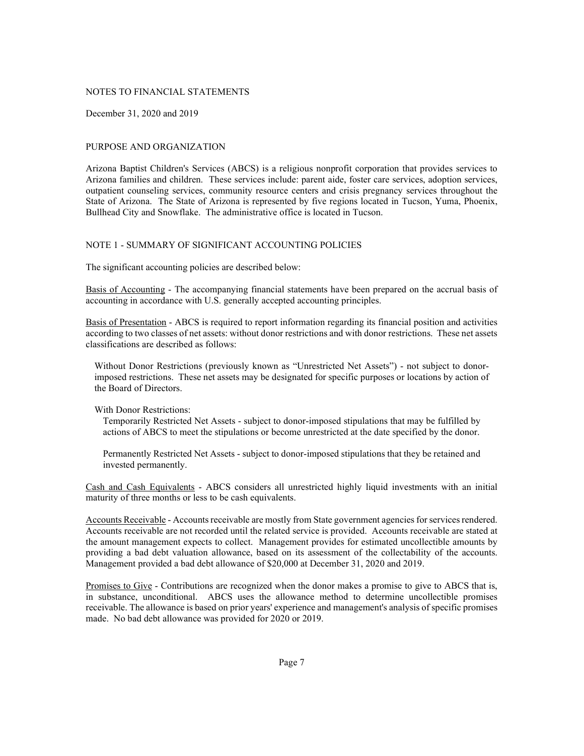#### NOTES TO FINANCIAL STATEMENTS

December 31, 2020 and 2019

#### PURPOSE AND ORGANIZATION

Arizona Baptist Children's Services (ABCS) is a religious nonprofit corporation that provides services to Arizona families and children. These services include: parent aide, foster care services, adoption services, outpatient counseling services, community resource centers and crisis pregnancy services throughout the State of Arizona. The State of Arizona is represented by five regions located in Tucson, Yuma, Phoenix, Bullhead City and Snowflake. The administrative office is located in Tucson.

#### NOTE 1 - SUMMARY OF SIGNIFICANT ACCOUNTING POLICIES

The significant accounting policies are described below:

Basis of Accounting - The accompanying financial statements have been prepared on the accrual basis of accounting in accordance with U.S. generally accepted accounting principles.

Basis of Presentation - ABCS is required to report information regarding its financial position and activities according to two classes of net assets: without donor restrictions and with donor restrictions. These net assets classifications are described as follows:

Without Donor Restrictions (previously known as "Unrestricted Net Assets") - not subject to donorimposed restrictions. These net assets may be designated for specific purposes or locations by action of the Board of Directors.

With Donor Restrictions:

Temporarily Restricted Net Assets - subject to donor-imposed stipulations that may be fulfilled by actions of ABCS to meet the stipulations or become unrestricted at the date specified by the donor.

Permanently Restricted Net Assets - subject to donor-imposed stipulations that they be retained and invested permanently.

Cash and Cash Equivalents - ABCS considers all unrestricted highly liquid investments with an initial maturity of three months or less to be cash equivalents.

Accounts Receivable - Accounts receivable are mostly from State government agencies for services rendered. Accounts receivable are not recorded until the related service is provided. Accounts receivable are stated at the amount management expects to collect. Management provides for estimated uncollectible amounts by providing a bad debt valuation allowance, based on its assessment of the collectability of the accounts. Management provided a bad debt allowance of \$20,000 at December 31, 2020 and 2019.

Promises to Give - Contributions are recognized when the donor makes a promise to give to ABCS that is, in substance, unconditional. ABCS uses the allowance method to determine uncollectible promises receivable. The allowance is based on prior years' experience and management's analysis of specific promises made. No bad debt allowance was provided for 2020 or 2019.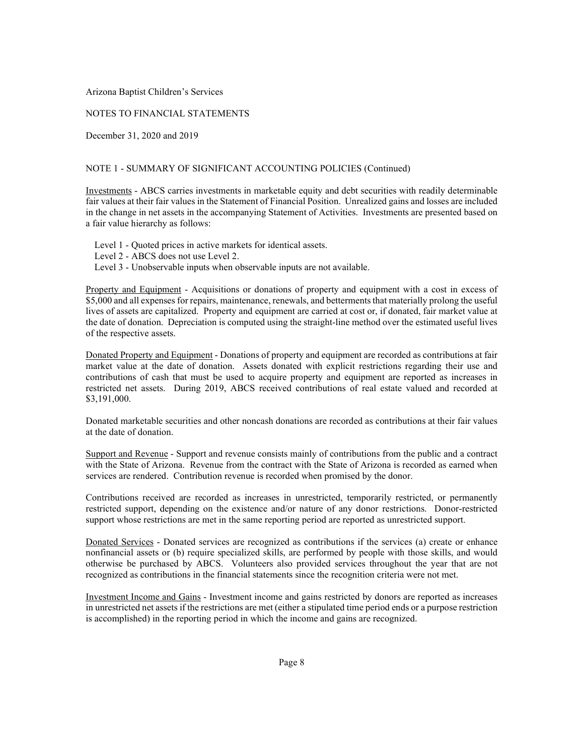#### NOTES TO FINANCIAL STATEMENTS

December 31, 2020 and 2019

#### NOTE 1 - SUMMARY OF SIGNIFICANT ACCOUNTING POLICIES (Continued)

Investments - ABCS carries investments in marketable equity and debt securities with readily determinable fair values at their fair values in the Statement of Financial Position. Unrealized gains and losses are included in the change in net assets in the accompanying Statement of Activities. Investments are presented based on a fair value hierarchy as follows:

Level 1 - Quoted prices in active markets for identical assets. Level 2 - ABCS does not use Level 2. Level 3 - Unobservable inputs when observable inputs are not available.

Property and Equipment - Acquisitions or donations of property and equipment with a cost in excess of \$5,000 and all expenses for repairs, maintenance, renewals, and betterments that materially prolong the useful lives of assets are capitalized. Property and equipment are carried at cost or, if donated, fair market value at the date of donation. Depreciation is computed using the straight-line method over the estimated useful lives of the respective assets.

Donated Property and Equipment - Donations of property and equipment are recorded as contributions at fair market value at the date of donation. Assets donated with explicit restrictions regarding their use and contributions of cash that must be used to acquire property and equipment are reported as increases in restricted net assets. During 2019, ABCS received contributions of real estate valued and recorded at \$3,191,000.

Donated marketable securities and other noncash donations are recorded as contributions at their fair values at the date of donation.

Support and Revenue - Support and revenue consists mainly of contributions from the public and a contract with the State of Arizona. Revenue from the contract with the State of Arizona is recorded as earned when services are rendered. Contribution revenue is recorded when promised by the donor.

Contributions received are recorded as increases in unrestricted, temporarily restricted, or permanently restricted support, depending on the existence and/or nature of any donor restrictions. Donor-restricted support whose restrictions are met in the same reporting period are reported as unrestricted support.

Donated Services - Donated services are recognized as contributions if the services (a) create or enhance nonfinancial assets or (b) require specialized skills, are performed by people with those skills, and would otherwise be purchased by ABCS. Volunteers also provided services throughout the year that are not recognized as contributions in the financial statements since the recognition criteria were not met.

Investment Income and Gains - Investment income and gains restricted by donors are reported as increases in unrestricted net assets if the restrictions are met (either a stipulated time period ends or a purpose restriction is accomplished) in the reporting period in which the income and gains are recognized.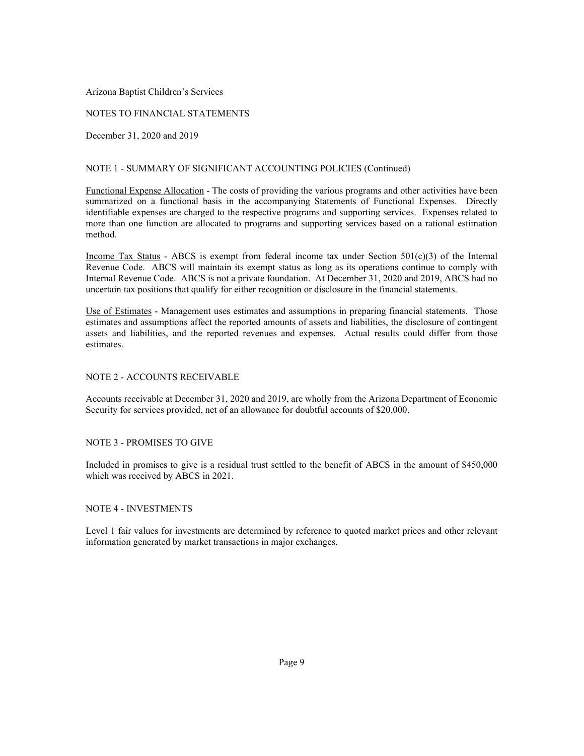### NOTES TO FINANCIAL STATEMENTS

December 31, 2020 and 2019

#### NOTE 1 - SUMMARY OF SIGNIFICANT ACCOUNTING POLICIES (Continued)

Functional Expense Allocation - The costs of providing the various programs and other activities have been summarized on a functional basis in the accompanying Statements of Functional Expenses. Directly identifiable expenses are charged to the respective programs and supporting services. Expenses related to more than one function are allocated to programs and supporting services based on a rational estimation method.

Income Tax Status - ABCS is exempt from federal income tax under Section  $501(c)(3)$  of the Internal Revenue Code. ABCS will maintain its exempt status as long as its operations continue to comply with Internal Revenue Code. ABCS is not a private foundation. At December 31, 2020 and 2019, ABCS had no uncertain tax positions that qualify for either recognition or disclosure in the financial statements.

Use of Estimates - Management uses estimates and assumptions in preparing financial statements. Those estimates and assumptions affect the reported amounts of assets and liabilities, the disclosure of contingent assets and liabilities, and the reported revenues and expenses. Actual results could differ from those estimates.

#### NOTE 2 - ACCOUNTS RECEIVABLE

Accounts receivable at December 31, 2020 and 2019, are wholly from the Arizona Department of Economic Security for services provided, net of an allowance for doubtful accounts of \$20,000.

#### NOTE 3 - PROMISES TO GIVE

Included in promises to give is a residual trust settled to the benefit of ABCS in the amount of \$450,000 which was received by ABCS in 2021.

#### NOTE 4 - INVESTMENTS

Level 1 fair values for investments are determined by reference to quoted market prices and other relevant information generated by market transactions in major exchanges.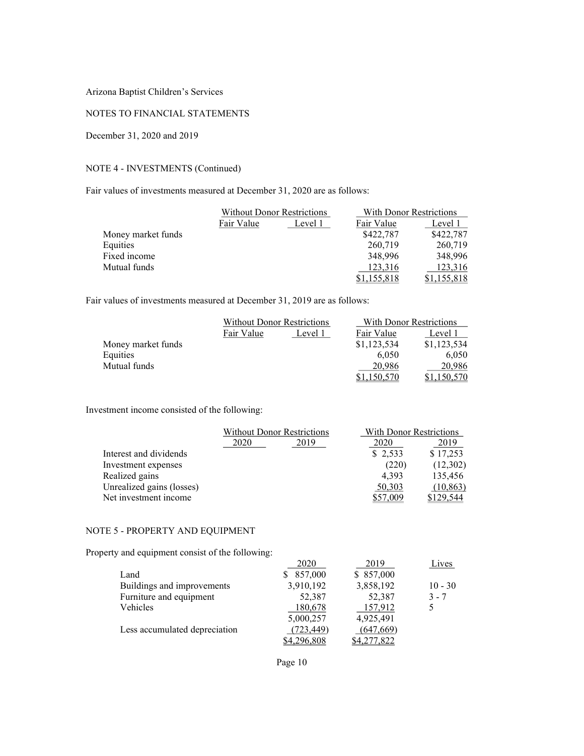### NOTES TO FINANCIAL STATEMENTS

December 31, 2020 and 2019

### NOTE 4 - INVESTMENTS (Continued)

Fair values of investments measured at December 31, 2020 are as follows:

|                    |            | <b>Without Donor Restrictions</b> |             | <b>With Donor Restrictions</b> |
|--------------------|------------|-----------------------------------|-------------|--------------------------------|
|                    | Fair Value | Level 1                           | Fair Value  | Level 1                        |
| Money market funds |            |                                   | \$422,787   | \$422,787                      |
| Equities           |            |                                   | 260,719     | 260,719                        |
| Fixed income       |            |                                   | 348,996     | 348,996                        |
| Mutual funds       |            |                                   | 123,316     | 123,316                        |
|                    |            |                                   | \$1,155,818 | \$1,155,818                    |

Fair values of investments measured at December 31, 2019 are as follows:

|                    | <b>Without Donor Restrictions</b> |         |             | With Donor Restrictions |
|--------------------|-----------------------------------|---------|-------------|-------------------------|
|                    | Fair Value                        | Level 1 | Fair Value  | Level 1                 |
| Money market funds |                                   |         | \$1,123,534 | \$1,123,534             |
| Equities           |                                   |         | 6.050       | 6.050                   |
| Mutual funds       |                                   |         | 20,986      | 20,986                  |
|                    |                                   |         | \$1,150,570 | \$1,150,570             |

Investment income consisted of the following:

|                           | <b>Without Donor Restrictions</b> |      | With Donor Restrictions |           |  |
|---------------------------|-----------------------------------|------|-------------------------|-----------|--|
|                           | 2020                              | 2019 | 2020                    | 2019      |  |
| Interest and dividends    |                                   |      | \$2,533                 | \$17,253  |  |
| Investment expenses       |                                   |      | (220)                   | (12,302)  |  |
| Realized gains            |                                   |      | 4,393                   | 135,456   |  |
| Unrealized gains (losses) |                                   |      | 50,303                  | (10, 863) |  |
| Net investment income     |                                   |      | \$57,009                | \$129,544 |  |

#### NOTE 5 - PROPERTY AND EQUIPMENT

Property and equipment consist of the following:

|                               | 2020        | 2019        | $_{1ves}$ |
|-------------------------------|-------------|-------------|-----------|
| Land                          | \$857,000   | \$ 857,000  |           |
| Buildings and improvements    | 3,910,192   | 3,858,192   | $10 - 30$ |
| Furniture and equipment       | 52,387      | 52,387      | $3 - 7$   |
| Vehicles                      | 180,678     | 157,912     |           |
|                               | 5,000,257   | 4,925,491   |           |
| Less accumulated depreciation | (723,449)   | (647,669)   |           |
|                               | \$4,296,808 | \$4,277,822 |           |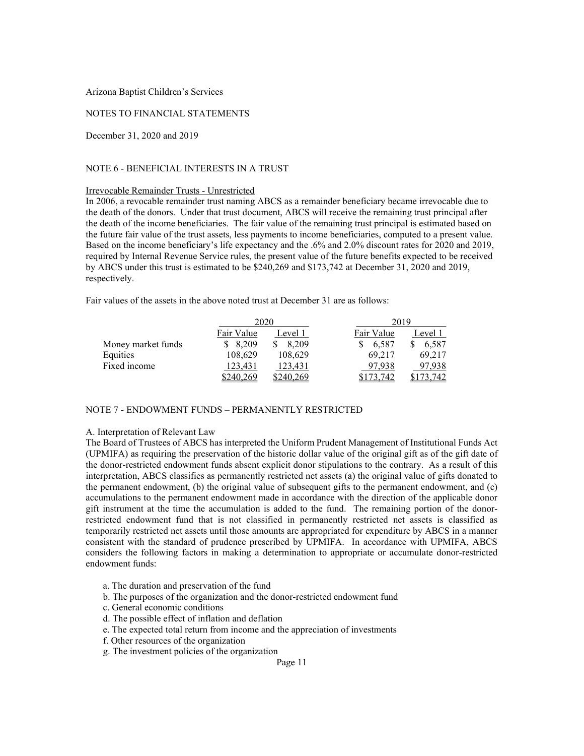#### NOTES TO FINANCIAL STATEMENTS

December 31, 2020 and 2019

#### NOTE 6 - BENEFICIAL INTERESTS IN A TRUST

#### Irrevocable Remainder Trusts - Unrestricted

In 2006, a revocable remainder trust naming ABCS as a remainder beneficiary became irrevocable due to the death of the donors. Under that trust document, ABCS will receive the remaining trust principal after the death of the income beneficiaries. The fair value of the remaining trust principal is estimated based on the future fair value of the trust assets, less payments to income beneficiaries, computed to a present value. Based on the income beneficiary's life expectancy and the .6% and 2.0% discount rates for 2020 and 2019, required by Internal Revenue Service rules, the present value of the future benefits expected to be received by ABCS under this trust is estimated to be \$240,269 and \$173,742 at December 31, 2020 and 2019, respectively.

Fair values of the assets in the above noted trust at December 31 are as follows:

|                    | 2020       |           |            | 2019      |
|--------------------|------------|-----------|------------|-----------|
|                    | Fair Value | Level 1   | Fair Value | Level 1   |
| Money market funds | \$8,209    | 8.209     | 6.587      | 6,587     |
| Equities           | 108,629    | 108,629   | 69.217     | 69.217    |
| Fixed income       | 123.431    | 123.431   | 97.938     | 97.938    |
|                    | \$240,269  | \$240,269 | 173,742    | \$173,742 |

#### NOTE 7 - ENDOWMENT FUNDS – PERMANENTLY RESTRICTED

#### A. Interpretation of Relevant Law

The Board of Trustees of ABCS has interpreted the Uniform Prudent Management of Institutional Funds Act (UPMIFA) as requiring the preservation of the historic dollar value of the original gift as of the gift date of the donor-restricted endowment funds absent explicit donor stipulations to the contrary. As a result of this interpretation, ABCS classifies as permanently restricted net assets (a) the original value of gifts donated to the permanent endowment, (b) the original value of subsequent gifts to the permanent endowment, and (c) accumulations to the permanent endowment made in accordance with the direction of the applicable donor gift instrument at the time the accumulation is added to the fund. The remaining portion of the donorrestricted endowment fund that is not classified in permanently restricted net assets is classified as temporarily restricted net assets until those amounts are appropriated for expenditure by ABCS in a manner consistent with the standard of prudence prescribed by UPMIFA. In accordance with UPMIFA, ABCS considers the following factors in making a determination to appropriate or accumulate donor-restricted endowment funds:

- a. The duration and preservation of the fund
- b. The purposes of the organization and the donor-restricted endowment fund
- c. General economic conditions
- d. The possible effect of inflation and deflation
- e. The expected total return from income and the appreciation of investments
- f. Other resources of the organization
- g. The investment policies of the organization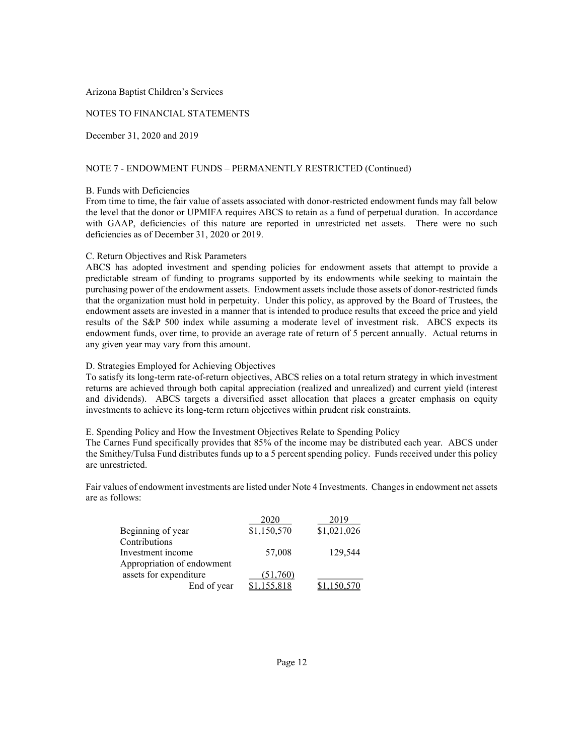#### NOTES TO FINANCIAL STATEMENTS

December 31, 2020 and 2019

#### NOTE 7 - ENDOWMENT FUNDS – PERMANENTLY RESTRICTED (Continued)

#### B. Funds with Deficiencies

From time to time, the fair value of assets associated with donor-restricted endowment funds may fall below the level that the donor or UPMIFA requires ABCS to retain as a fund of perpetual duration. In accordance with GAAP, deficiencies of this nature are reported in unrestricted net assets. There were no such deficiencies as of December 31, 2020 or 2019.

#### C. Return Objectives and Risk Parameters

ABCS has adopted investment and spending policies for endowment assets that attempt to provide a predictable stream of funding to programs supported by its endowments while seeking to maintain the purchasing power of the endowment assets. Endowment assets include those assets of donor-restricted funds that the organization must hold in perpetuity. Under this policy, as approved by the Board of Trustees, the endowment assets are invested in a manner that is intended to produce results that exceed the price and yield results of the S&P 500 index while assuming a moderate level of investment risk. ABCS expects its endowment funds, over time, to provide an average rate of return of 5 percent annually. Actual returns in any given year may vary from this amount.

#### D. Strategies Employed for Achieving Objectives

To satisfy its long-term rate-of-return objectives, ABCS relies on a total return strategy in which investment returns are achieved through both capital appreciation (realized and unrealized) and current yield (interest and dividends). ABCS targets a diversified asset allocation that places a greater emphasis on equity investments to achieve its long-term return objectives within prudent risk constraints.

E. Spending Policy and How the Investment Objectives Relate to Spending Policy

The Carnes Fund specifically provides that 85% of the income may be distributed each year. ABCS under the Smithey/Tulsa Fund distributes funds up to a 5 percent spending policy. Funds received under this policy are unrestricted.

Fair values of endowment investments are listed under Note 4 Investments. Changes in endowment net assets are as follows:

|                            | 2020        | 2019        |
|----------------------------|-------------|-------------|
| Beginning of year          | \$1,150,570 | \$1,021,026 |
| Contributions              |             |             |
| Investment income          | 57,008      | 129,544     |
| Appropriation of endowment |             |             |
| assets for expenditure     | (51,760)    |             |
| End of year                | \$1,155,818 | \$1,150,570 |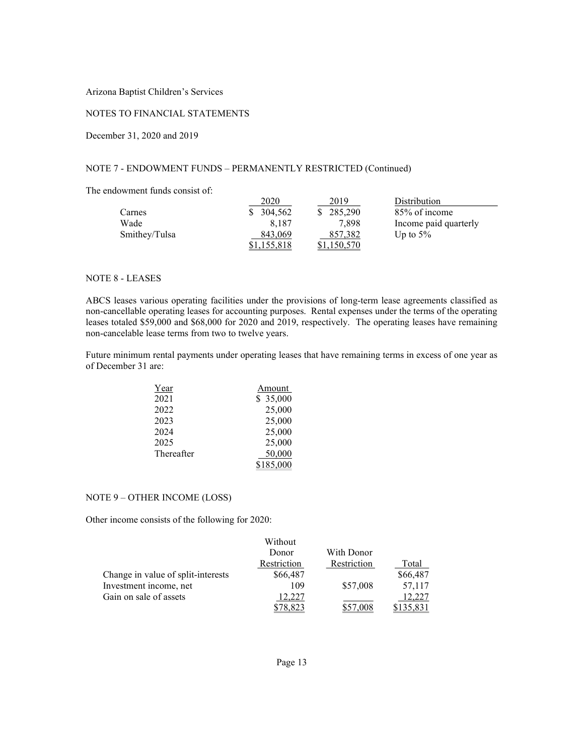#### NOTES TO FINANCIAL STATEMENTS

December 31, 2020 and 2019

#### NOTE 7 - ENDOWMENT FUNDS – PERMANENTLY RESTRICTED (Continued)

The endowment funds consist of:

|               | 2020        | 2019        | Distribution          |
|---------------|-------------|-------------|-----------------------|
| Carnes        | 304.562     | 285,290     | 85% of income         |
| Wade          | 8.187       | 7.898       | Income paid quarterly |
| Smithey/Tulsa | 843,069     | 857,382     | Up to $5\%$           |
|               | \$1,155,818 | \$1,150,570 |                       |

### NOTE 8 - LEASES

ABCS leases various operating facilities under the provisions of long-term lease agreements classified as non-cancellable operating leases for accounting purposes. Rental expenses under the terms of the operating leases totaled \$59,000 and \$68,000 for 2020 and 2019, respectively. The operating leases have remaining non-cancelable lease terms from two to twelve years.

Future minimum rental payments under operating leases that have remaining terms in excess of one year as of December 31 are:

| Year       | Amount    |
|------------|-----------|
| 2021       | \$35,000  |
| 2022       | 25,000    |
| 2023       | 25,000    |
| 2024       | 25,000    |
| 2025       | 25,000    |
| Thereafter | 50,000    |
|            | \$185,000 |

#### NOTE 9 – OTHER INCOME (LOSS)

Other income consists of the following for 2020:

|                                    | Without     |             |           |
|------------------------------------|-------------|-------------|-----------|
|                                    | Donor       | With Donor  |           |
|                                    | Restriction | Restriction | Total     |
| Change in value of split-interests | \$66,487    |             | \$66,487  |
| Investment income, net             | 109         | \$57,008    | 57,117    |
| Gain on sale of assets             | 12.227      |             | 12.227    |
|                                    |             | \$57,008    | \$135,831 |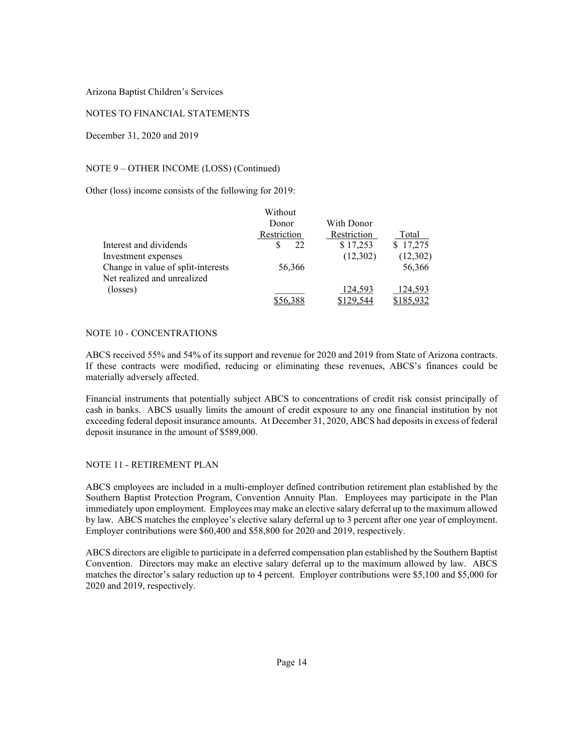#### NOTES TO FINANCIAL STATEMENTS

December 31, 2020 and 2019

#### NOTE 9 – OTHER INCOME (LOSS) (Continued)

Other (loss) income consists of the following for 2019:

|                                    | Without     |             |              |
|------------------------------------|-------------|-------------|--------------|
|                                    | Donor       | With Donor  |              |
|                                    | Restriction | Restriction | Total        |
| Interest and dividends             | 22          | \$17,253    | 17,275<br>S. |
| Investment expenses                |             | (12,302)    | (12,302)     |
| Change in value of split-interests | 56,366      |             | 56,366       |
| Net realized and unrealized        |             |             |              |
| (losses)                           |             | 124,593     | 124,593      |
|                                    |             | \$129.544   | \$185.932    |

#### NOTE 10 - CONCENTRATIONS

ABCS received 55% and 54% of its support and revenue for 2020 and 2019 from State of Arizona contracts. If these contracts were modified, reducing or eliminating these revenues, ABCS's finances could be materially adversely affected.

Financial instruments that potentially subject ABCS to concentrations of credit risk consist principally of cash in banks. ABCS usually limits the amount of credit exposure to any one financial institution by not exceeding federal deposit insurance amounts. At December 31, 2020, ABCS had deposits in excess of federal deposit insurance in the amount of \$589,000.

#### NOTE 11 - RETIREMENT PLAN

ABCS employees are included in a multi-employer defined contribution retirement plan established by the Southern Baptist Protection Program, Convention Annuity Plan. Employees may participate in the Plan immediately upon employment. Employees may make an elective salary deferral up to the maximum allowed by law. ABCS matches the employee's elective salary deferral up to 3 percent after one year of employment. Employer contributions were \$60,400 and \$58,800 for 2020 and 2019, respectively.

ABCS directors are eligible to participate in a deferred compensation plan established by the Southern Baptist Convention. Directors may make an elective salary deferral up to the maximum allowed by law. ABCS matches the director's salary reduction up to 4 percent. Employer contributions were \$5,100 and \$5,000 for 2020 and 2019, respectively.